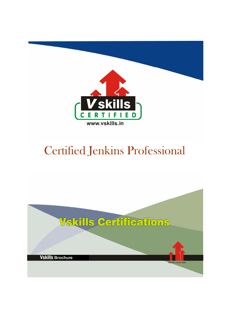

# Certified Jenkins Professional

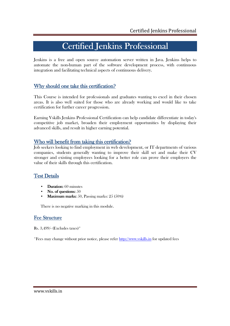## Certified Jenkins Professional

Jenkins is a free and open source automation server written in Java. Jenkins helps to automate the non-human part of the software development process, with continuous integration and facilitating technical aspects of continuous delivery.

## Why should one take this certification?

This Course is intended for professionals and graduates wanting to excel in their chosen areas. It is also well suited for those who are already working and would like to take certification for further career progression.

Earning Vskills Jenkins Professional Certification can help candidate differentiate in today's competitive job market, broaden their employment opportunities by displaying their advanced skills, and result in higher earning potential.

### Who will benefit from taking this certification?

Job seekers looking to find employment in web development, or IT departments of various companies, students generally wanting to improve their skill set and make their CV stronger and existing employees looking for a better role can prove their employers the value of their skills through this certification.

## Test Details

- Duration:  $60$  minutes
- No. of questions:  $50$
- Maximum marks: 50, Passing marks:  $25(50\%)$

There is no negative marking in this module.

### Fee Structure

Rs. 3,499/- (Excludes taxes)\*

\*Fees may change without prior notice, please refer http://www.vskills.in for updated fees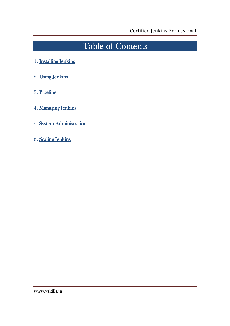## Table of Contents

- 1. Installing Jenkins
- 2. Using Jenkins
- 3. Pipeline
- 4. Managing Jenkins
- 5. System Administration
- 6. Scaling Jenkins